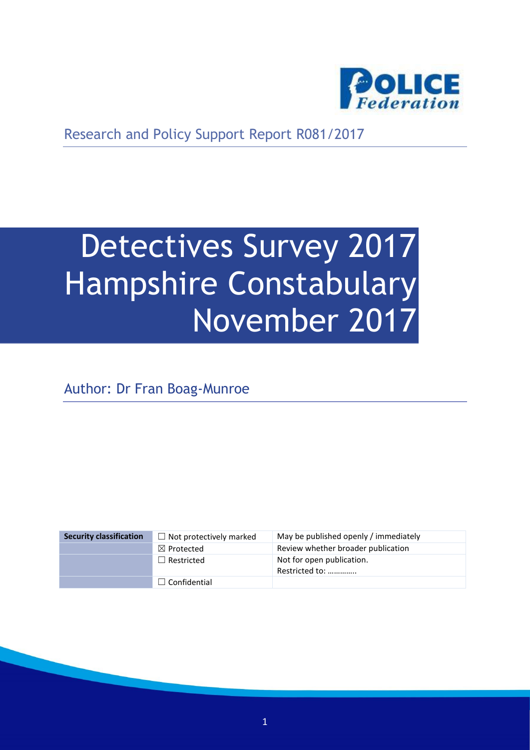

Research and Policy Support Report R081/2017

# Detectives Survey 2017 Hampshire Constabulary November 2017

Author: Dr Fran Boag-Munroe

| <b>Security classification</b> | $\Box$ Not protectively marked | May be published openly / immediately       |
|--------------------------------|--------------------------------|---------------------------------------------|
|                                | $\boxtimes$ Protected          | Review whether broader publication          |
|                                | $\Box$ Restricted              | Not for open publication.<br>Restricted to: |
|                                | $\Box$ Confidential            |                                             |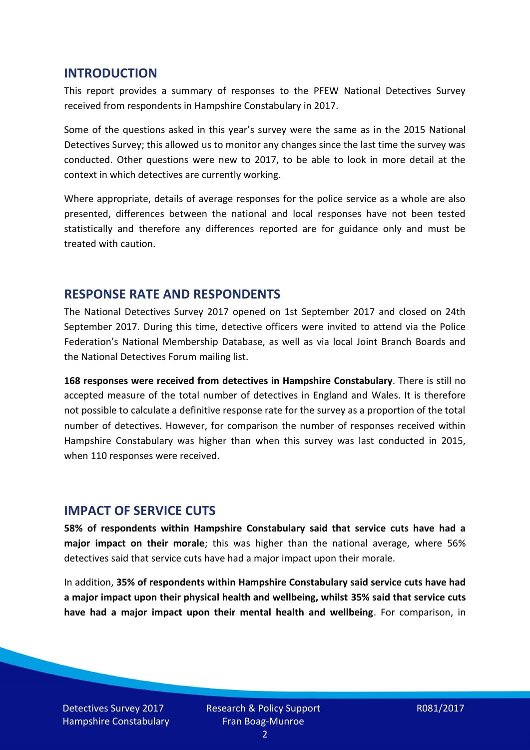#### **INTRODUCTION**

This report provides a summary of responses to the PFEW National Detectives Survey received from respondents in Hampshire Constabulary in 2017.

Some of the questions asked in this year's survey were the same as in the 2015 National Detectives Survey; this allowed us to monitor any changes since the last time the survey was conducted. Other questions were new to 2017, to be able to look in more detail at the context in which detectives are currently working.

Where appropriate, details of average responses for the police service as a whole are also presented, differences between the national and local responses have not been tested statistically and therefore any differences reported are for guidance only and must be treated with caution.

### **RESPONSE RATE AND RESPONDENTS**

The National Detectives Survey 2017 opened on 1st September 2017 and closed on 24th September 2017. During this time, detective officers were invited to attend via the Police Federation's National Membership Database, as well as via local Joint Branch Boards and the National Detectives Forum mailing list.

**168 responses were received from detectives in Hampshire Constabulary**. There is still no accepted measure of the total number of detectives in England and Wales. It is therefore not possible to calculate a definitive response rate for the survey as a proportion of the total number of detectives. However, for comparison the number of responses received within Hampshire Constabulary was higher than when this survey was last conducted in 2015, when 110 responses were received.

### **IMPACT OF SERVICE CUTS**

**58% of respondents within Hampshire Constabulary said that service cuts have had a major impact on their morale**; this was higher than the national average, where 56% detectives said that service cuts have had a major impact upon their morale.

In addition, **35% of respondents within Hampshire Constabulary said service cuts have had a major impact upon their physical health and wellbeing, whilst 35% said that service cuts have had a major impact upon their mental health and wellbeing**. For comparison, in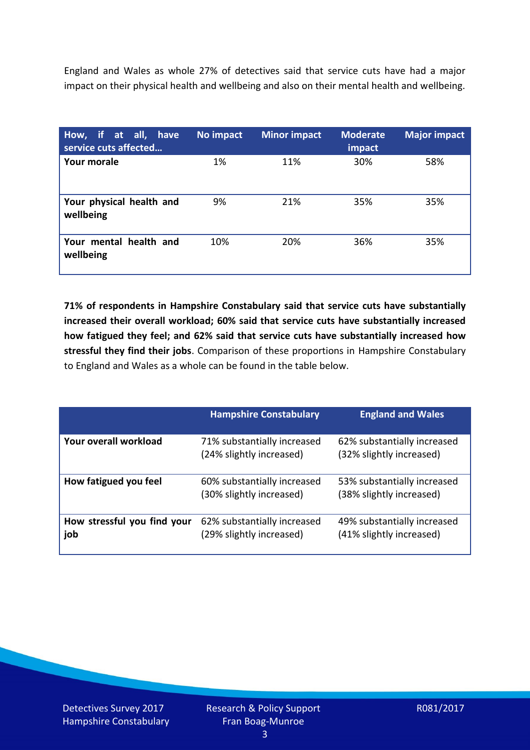England and Wales as whole 27% of detectives said that service cuts have had a major impact on their physical health and wellbeing and also on their mental health and wellbeing.

| How, if at all, have<br>service cuts affected | No impact | <b>Minor impact</b> | <b>Moderate</b><br>impact | <b>Major impact</b> |
|-----------------------------------------------|-----------|---------------------|---------------------------|---------------------|
| <b>Your morale</b>                            | 1%        | 11%                 | 30%                       | 58%                 |
| Your physical health and<br>wellbeing         | 9%        | 21%                 | 35%                       | 35%                 |
| Your mental health and<br>wellbeing           | 10%       | 20%                 | 36%                       | 35%                 |

**71% of respondents in Hampshire Constabulary said that service cuts have substantially increased their overall workload; 60% said that service cuts have substantially increased how fatigued they feel; and 62% said that service cuts have substantially increased how stressful they find their jobs**. Comparison of these proportions in Hampshire Constabulary to England and Wales as a whole can be found in the table below.

|                                    | <b>Hampshire Constabulary</b>                           | <b>England and Wales</b>                                |
|------------------------------------|---------------------------------------------------------|---------------------------------------------------------|
| Your overall workload              | 71% substantially increased<br>(24% slightly increased) | 62% substantially increased<br>(32% slightly increased) |
| How fatigued you feel              | 60% substantially increased<br>(30% slightly increased) | 53% substantially increased<br>(38% slightly increased) |
| How stressful you find your<br>job | 62% substantially increased<br>(29% slightly increased) | 49% substantially increased<br>(41% slightly increased) |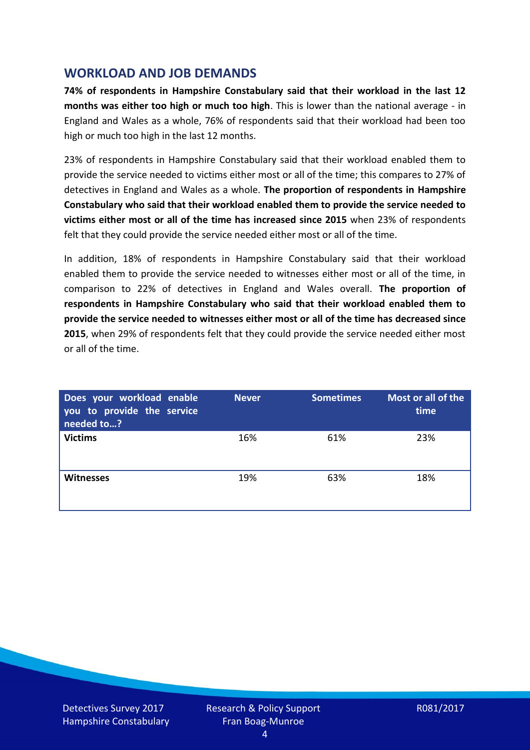## **WORKLOAD AND JOB DEMANDS**

**74% of respondents in Hampshire Constabulary said that their workload in the last 12 months was either too high or much too high**. This is lower than the national average - in England and Wales as a whole, 76% of respondents said that their workload had been too high or much too high in the last 12 months.

23% of respondents in Hampshire Constabulary said that their workload enabled them to provide the service needed to victims either most or all of the time; this compares to 27% of detectives in England and Wales as a whole. **The proportion of respondents in Hampshire Constabulary who said that their workload enabled them to provide the service needed to victims either most or all of the time has increased since 2015** when 23% of respondents felt that they could provide the service needed either most or all of the time.

In addition, 18% of respondents in Hampshire Constabulary said that their workload enabled them to provide the service needed to witnesses either most or all of the time, in comparison to 22% of detectives in England and Wales overall. **The proportion of respondents in Hampshire Constabulary who said that their workload enabled them to provide the service needed to witnesses either most or all of the time has decreased since 2015**, when 29% of respondents felt that they could provide the service needed either most or all of the time.

| Does your workload enable<br>you to provide the service<br>needed to? | <b>Never</b> | <b>Sometimes</b> | Most or all of the<br>time |
|-----------------------------------------------------------------------|--------------|------------------|----------------------------|
| <b>Victims</b>                                                        | 16%          | 61%              | 23%                        |
| <b>Witnesses</b>                                                      | 19%          | 63%              | 18%                        |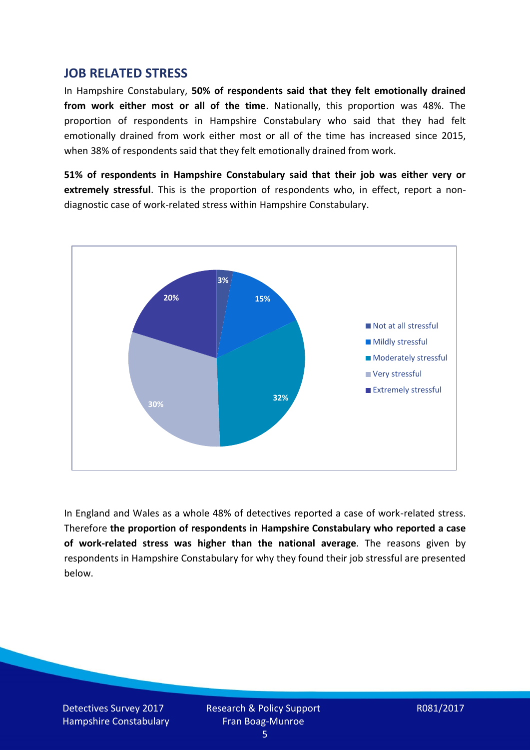### **JOB RELATED STRESS**

In Hampshire Constabulary, **50% of respondents said that they felt emotionally drained from work either most or all of the time**. Nationally, this proportion was 48%. The proportion of respondents in Hampshire Constabulary who said that they had felt emotionally drained from work either most or all of the time has increased since 2015, when 38% of respondents said that they felt emotionally drained from work.

**51% of respondents in Hampshire Constabulary said that their job was either very or extremely stressful**. This is the proportion of respondents who, in effect, report a nondiagnostic case of work-related stress within Hampshire Constabulary.



In England and Wales as a whole 48% of detectives reported a case of work-related stress. Therefore **the proportion of respondents in Hampshire Constabulary who reported a case of work-related stress was higher than the national average**. The reasons given by respondents in Hampshire Constabulary for why they found their job stressful are presented below.

Detectives Survey 2017 Hampshire Constabulary Research & Policy Support Fran Boag-Munroe

R081/2017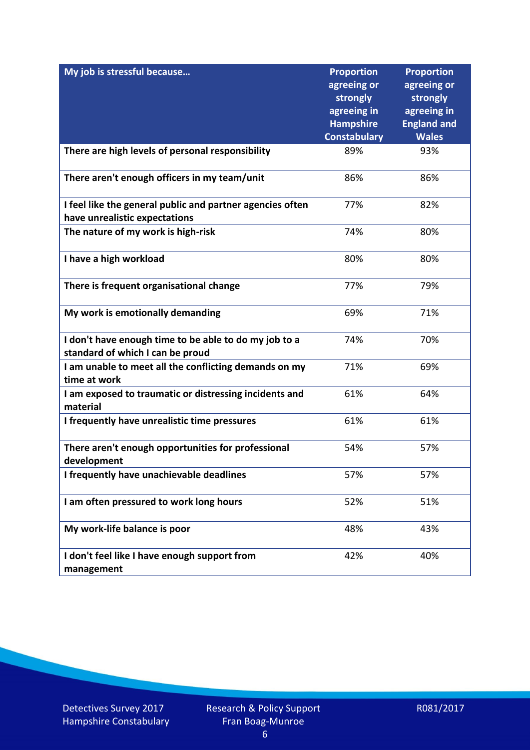| My job is stressful because                                                                | <b>Proportion</b><br>agreeing or | <b>Proportion</b><br>agreeing or  |
|--------------------------------------------------------------------------------------------|----------------------------------|-----------------------------------|
|                                                                                            | strongly                         | strongly                          |
|                                                                                            | agreeing in<br><b>Hampshire</b>  | agreeing in<br><b>England and</b> |
|                                                                                            | <b>Constabulary</b>              | <b>Wales</b>                      |
| There are high levels of personal responsibility                                           | 89%                              | 93%                               |
| There aren't enough officers in my team/unit                                               | 86%                              | 86%                               |
| I feel like the general public and partner agencies often<br>have unrealistic expectations | 77%                              | 82%                               |
| The nature of my work is high-risk                                                         | 74%                              | 80%                               |
| I have a high workload                                                                     | 80%                              | 80%                               |
| There is frequent organisational change                                                    | 77%                              | 79%                               |
| My work is emotionally demanding                                                           | 69%                              | 71%                               |
| I don't have enough time to be able to do my job to a<br>standard of which I can be proud  | 74%                              | 70%                               |
| I am unable to meet all the conflicting demands on my<br>time at work                      | 71%                              | 69%                               |
| I am exposed to traumatic or distressing incidents and<br>material                         | 61%                              | 64%                               |
| I frequently have unrealistic time pressures                                               | 61%                              | 61%                               |
| There aren't enough opportunities for professional<br>development                          | 54%                              | 57%                               |
| I frequently have unachievable deadlines                                                   | 57%                              | 57%                               |
| I am often pressured to work long hours                                                    | 52%                              | 51%                               |
| My work-life balance is poor                                                               | 48%                              | 43%                               |
| I don't feel like I have enough support from<br>management                                 | 42%                              | 40%                               |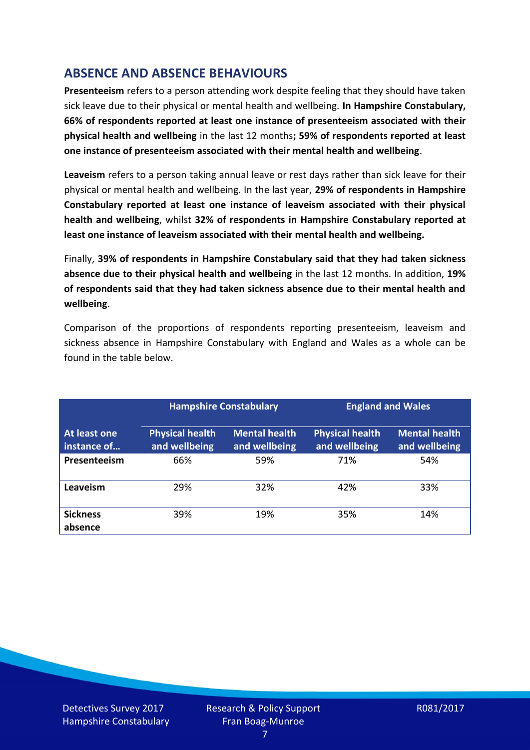## **ABSENCE AND ABSENCE BEHAVIOURS**

**Presenteeism** refers to a person attending work despite feeling that they should have taken sick leave due to their physical or mental health and wellbeing. **In Hampshire Constabulary, 66% of respondents reported at least one instance of presenteeism associated with their physical health and wellbeing** in the last 12 months**; 59% of respondents reported at least one instance of presenteeism associated with their mental health and wellbeing**.

**Leaveism** refers to a person taking annual leave or rest days rather than sick leave for their physical or mental health and wellbeing. In the last year, **29% of respondents in Hampshire Constabulary reported at least one instance of leaveism associated with their physical health and wellbeing**, whilst **32% of respondents in Hampshire Constabulary reported at least one instance of leaveism associated with their mental health and wellbeing.**

Finally, **39% of respondents in Hampshire Constabulary said that they had taken sickness absence due to their physical health and wellbeing** in the last 12 months. In addition, **19% of respondents said that they had taken sickness absence due to their mental health and wellbeing**.

Comparison of the proportions of respondents reporting presenteeism, leaveism and sickness absence in Hampshire Constabulary with England and Wales as a whole can be found in the table below.

|                             |                                         | <b>Hampshire Constabulary</b>         |                                         | <b>England and Wales</b>              |
|-----------------------------|-----------------------------------------|---------------------------------------|-----------------------------------------|---------------------------------------|
| At least one<br>instance of | <b>Physical health</b><br>and wellbeing | <b>Mental health</b><br>and wellbeing | <b>Physical health</b><br>and wellbeing | <b>Mental health</b><br>and wellbeing |
| Presenteeism                | 66%                                     | 59%                                   | 71%                                     | 54%                                   |
| Leaveism                    | 29%                                     | 32%                                   | 42%                                     | 33%                                   |
| <b>Sickness</b><br>absence  | 39%                                     | 19%                                   | 35%                                     | 14%                                   |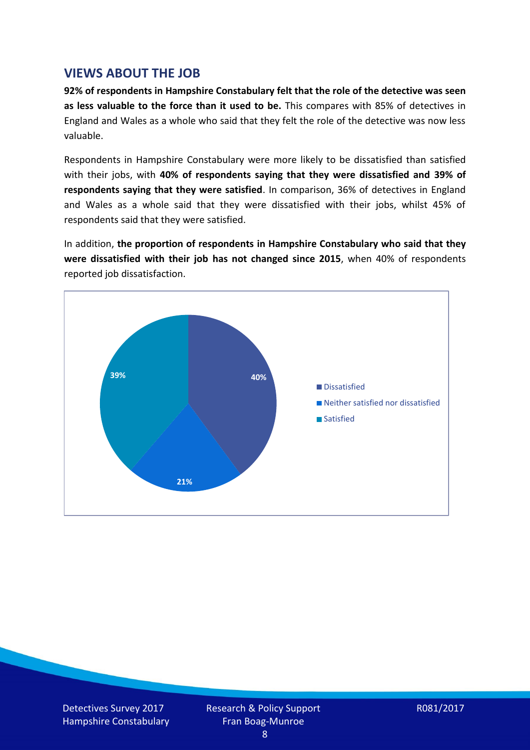## **VIEWS ABOUT THE JOB**

**92% of respondents in Hampshire Constabulary felt that the role of the detective was seen as less valuable to the force than it used to be.** This compares with 85% of detectives in England and Wales as a whole who said that they felt the role of the detective was now less valuable.

Respondents in Hampshire Constabulary were more likely to be dissatisfied than satisfied with their jobs, with **40% of respondents saying that they were dissatisfied and 39% of respondents saying that they were satisfied**. In comparison, 36% of detectives in England and Wales as a whole said that they were dissatisfied with their jobs, whilst 45% of respondents said that they were satisfied.

In addition, **the proportion of respondents in Hampshire Constabulary who said that they were dissatisfied with their job has not changed since 2015**, when 40% of respondents reported job dissatisfaction.



Detectives Survey 2017 Hampshire Constabulary Research & Policy Support Fran Boag-Munroe

R081/2017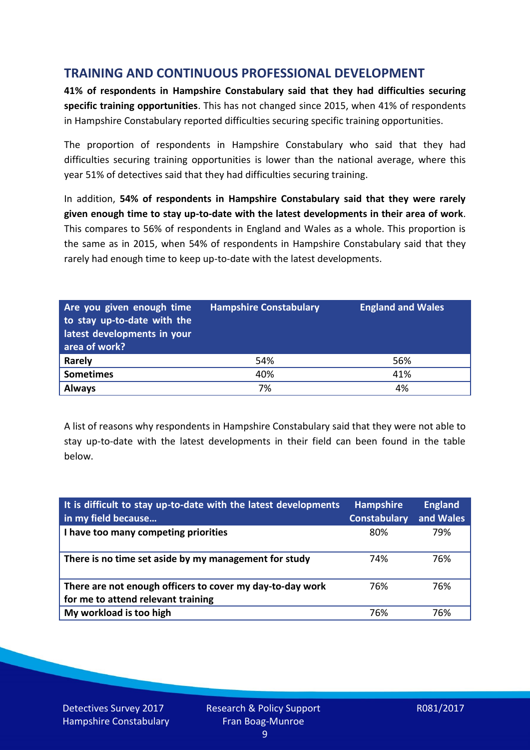## **TRAINING AND CONTINUOUS PROFESSIONAL DEVELOPMENT**

**41% of respondents in Hampshire Constabulary said that they had difficulties securing specific training opportunities**. This has not changed since 2015, when 41% of respondents in Hampshire Constabulary reported difficulties securing specific training opportunities.

The proportion of respondents in Hampshire Constabulary who said that they had difficulties securing training opportunities is lower than the national average, where this year 51% of detectives said that they had difficulties securing training.

In addition, **54% of respondents in Hampshire Constabulary said that they were rarely given enough time to stay up-to-date with the latest developments in their area of work**. This compares to 56% of respondents in England and Wales as a whole. This proportion is the same as in 2015, when 54% of respondents in Hampshire Constabulary said that they rarely had enough time to keep up-to-date with the latest developments.

| Are you given enough time<br>to stay up-to-date with the<br>latest developments in your<br>area of work? | <b>Hampshire Constabulary</b> | <b>England and Wales</b> |
|----------------------------------------------------------------------------------------------------------|-------------------------------|--------------------------|
| <b>Rarely</b>                                                                                            | 54%                           | 56%                      |
| <b>Sometimes</b>                                                                                         | 40%                           | 41%                      |
| <b>Always</b>                                                                                            | 7%                            | 4%                       |

A list of reasons why respondents in Hampshire Constabulary said that they were not able to stay up-to-date with the latest developments in their field can been found in the table below.

| It is difficult to stay up-to-date with the latest developments<br>in my field because          | <b>Hampshire</b><br><b>Constabulary</b> | <b>England</b><br>and Wales |
|-------------------------------------------------------------------------------------------------|-----------------------------------------|-----------------------------|
| I have too many competing priorities                                                            | 80%                                     | 79%                         |
| There is no time set aside by my management for study                                           | 74%                                     | 76%                         |
| There are not enough officers to cover my day-to-day work<br>for me to attend relevant training | 76%                                     | 76%                         |
| My workload is too high                                                                         | 76%                                     | 76%                         |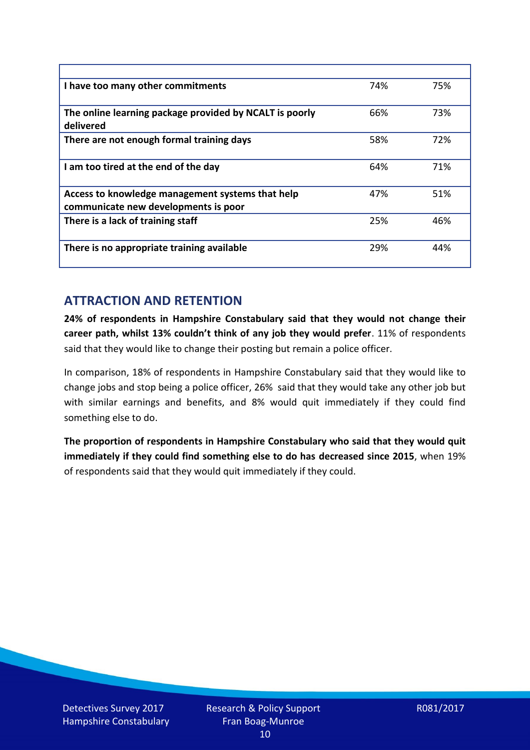| I have too many other commitments                                                        | 74% | 75% |
|------------------------------------------------------------------------------------------|-----|-----|
| The online learning package provided by NCALT is poorly<br>delivered                     | 66% | 73% |
| There are not enough formal training days                                                | 58% | 72% |
| I am too tired at the end of the day                                                     | 64% | 71% |
| Access to knowledge management systems that help<br>communicate new developments is poor | 47% | 51% |
| There is a lack of training staff                                                        | 25% | 46% |
| There is no appropriate training available                                               | 29% | 44% |

## **ATTRACTION AND RETENTION**

**24% of respondents in Hampshire Constabulary said that they would not change their career path, whilst 13% couldn't think of any job they would prefer**. 11% of respondents said that they would like to change their posting but remain a police officer.

In comparison, 18% of respondents in Hampshire Constabulary said that they would like to change jobs and stop being a police officer, 26% said that they would take any other job but with similar earnings and benefits, and 8% would quit immediately if they could find something else to do.

**The proportion of respondents in Hampshire Constabulary who said that they would quit immediately if they could find something else to do has decreased since 2015**, when 19% of respondents said that they would quit immediately if they could.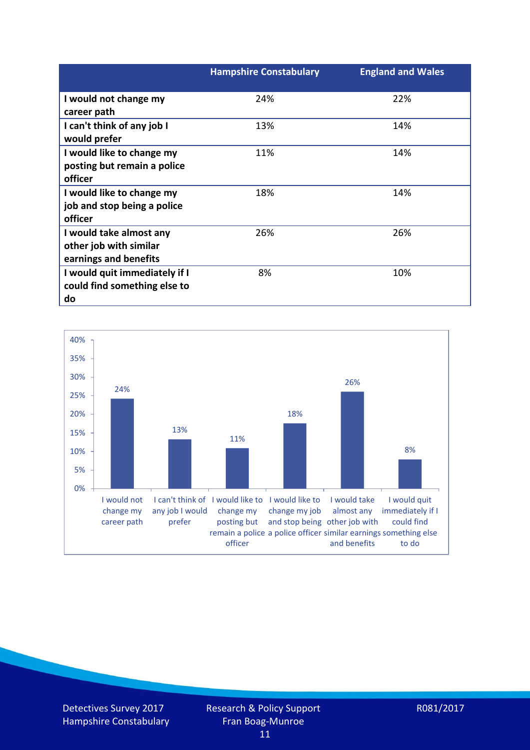|                               | <b>Hampshire Constabulary</b> | <b>England and Wales</b> |
|-------------------------------|-------------------------------|--------------------------|
| I would not change my         | 24%                           | 22%                      |
| career path                   |                               |                          |
| I can't think of any job I    | 13%                           | 14%                      |
| would prefer                  |                               |                          |
| I would like to change my     | 11%                           | 14%                      |
| posting but remain a police   |                               |                          |
| officer                       |                               |                          |
| I would like to change my     | 18%                           | 14%                      |
| job and stop being a police   |                               |                          |
| officer                       |                               |                          |
| I would take almost any       | 26%                           | 26%                      |
| other job with similar        |                               |                          |
| earnings and benefits         |                               |                          |
| I would quit immediately if I | 8%                            | 10%                      |
| could find something else to  |                               |                          |
| do                            |                               |                          |